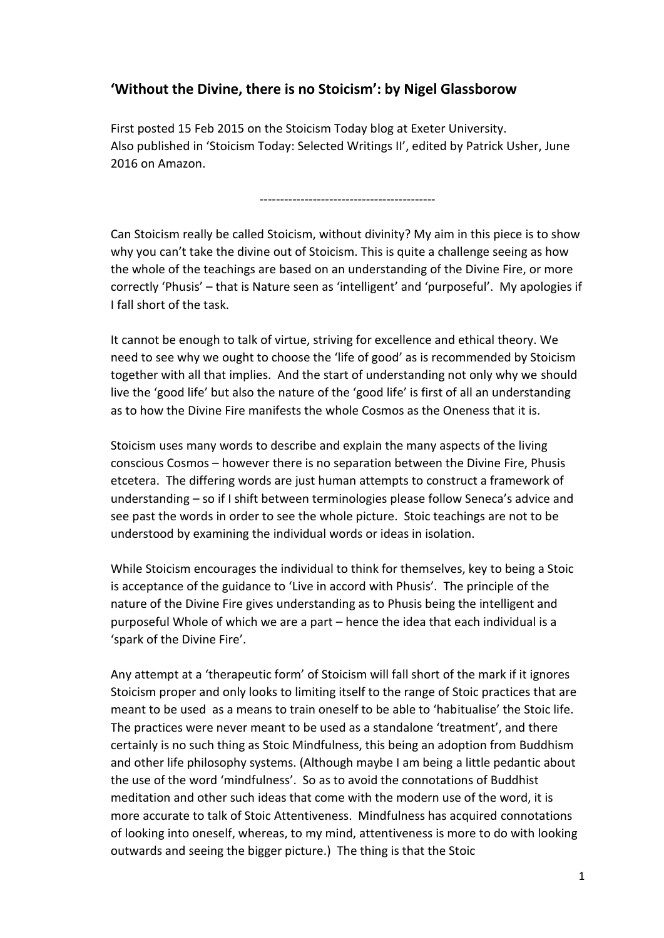## **'Without the Divine, there is no Stoicism': by Nigel Glassborow**

First posted 15 Feb 2015 on the Stoicism Today blog at Exeter University. Also published in 'Stoicism Today: Selected Writings II', edited by Patrick Usher, June 2016 on Amazon.

-------------------------------------------

Can Stoicism really be called Stoicism, without divinity? My aim in this piece is to show why you can't take the divine out of Stoicism. This is quite a challenge seeing as how the whole of the teachings are based on an understanding of the Divine Fire, or more correctly 'Phusis' – that is Nature seen as 'intelligent' and 'purposeful'. My apologies if I fall short of the task.

It cannot be enough to talk of virtue, striving for excellence and ethical theory. We need to see why we ought to choose the 'life of good' as is recommended by Stoicism together with all that implies. And the start of understanding not only why we should live the 'good life' but also the nature of the 'good life' is first of all an understanding as to how the Divine Fire manifests the whole Cosmos as the Oneness that it is.

Stoicism uses many words to describe and explain the many aspects of the living conscious Cosmos – however there is no separation between the Divine Fire, Phusis etcetera. The differing words are just human attempts to construct a framework of understanding – so if I shift between terminologies please follow Seneca's advice and see past the words in order to see the whole picture. Stoic teachings are not to be understood by examining the individual words or ideas in isolation.

While Stoicism encourages the individual to think for themselves, key to being a Stoic is acceptance of the guidance to 'Live in accord with Phusis'. The principle of the nature of the Divine Fire gives understanding as to Phusis being the intelligent and purposeful Whole of which we are a part – hence the idea that each individual is a 'spark of the Divine Fire'.

Any attempt at a 'therapeutic form' of Stoicism will fall short of the mark if it ignores Stoicism proper and only looks to limiting itself to the range of Stoic practices that are meant to be used as a means to train oneself to be able to 'habitualise' the Stoic life. The practices were never meant to be used as a standalone 'treatment', and there certainly is no such thing as Stoic Mindfulness, this being an adoption from Buddhism and other life philosophy systems. (Although maybe I am being a little pedantic about the use of the word 'mindfulness'. So as to avoid the connotations of Buddhist meditation and other such ideas that come with the modern use of the word, it is more accurate to talk of Stoic Attentiveness. Mindfulness has acquired connotations of looking into oneself, whereas, to my mind, attentiveness is more to do with looking outwards and seeing the bigger picture.) The thing is that the Stoic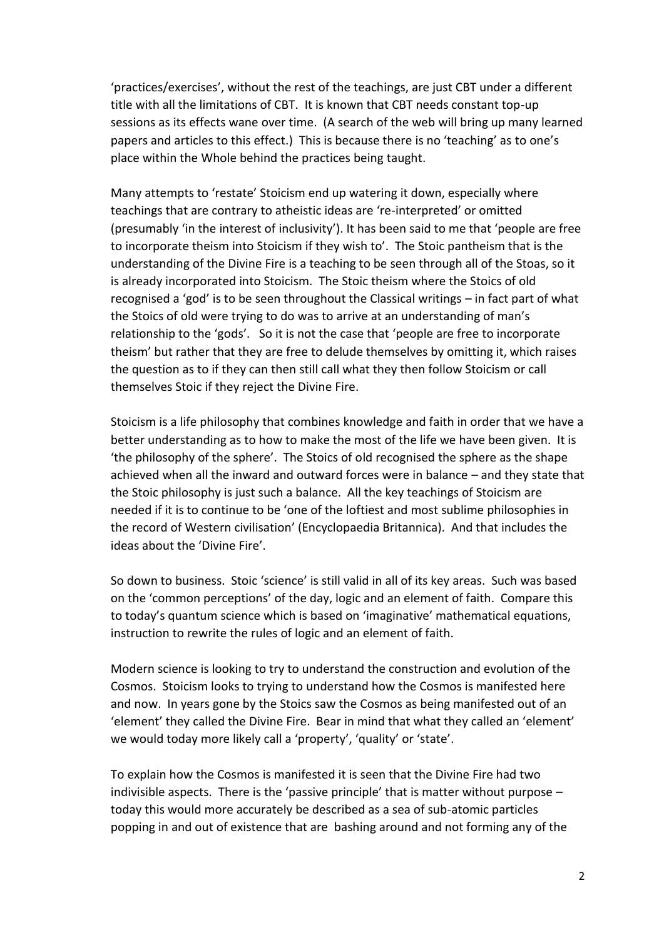'practices/exercises', without the rest of the teachings, are just CBT under a different title with all the limitations of CBT. It is known that CBT needs constant top-up sessions as its effects wane over time. (A search of the web will bring up many learned papers and articles to this effect.) This is because there is no 'teaching' as to one's place within the Whole behind the practices being taught.

Many attempts to 'restate' Stoicism end up watering it down, especially where teachings that are contrary to atheistic ideas are 're-interpreted' or omitted (presumably 'in the interest of inclusivity'). It has been said to me that 'people are free to incorporate theism into Stoicism if they wish to'. The Stoic pantheism that is the understanding of the Divine Fire is a teaching to be seen through all of the Stoas, so it is already incorporated into Stoicism. The Stoic theism where the Stoics of old recognised a 'god' is to be seen throughout the Classical writings – in fact part of what the Stoics of old were trying to do was to arrive at an understanding of man's relationship to the 'gods'. So it is not the case that 'people are free to incorporate theism' but rather that they are free to delude themselves by omitting it, which raises the question as to if they can then still call what they then follow Stoicism or call themselves Stoic if they reject the Divine Fire.

Stoicism is a life philosophy that combines knowledge and faith in order that we have a better understanding as to how to make the most of the life we have been given. It is 'the philosophy of the sphere'. The Stoics of old recognised the sphere as the shape achieved when all the inward and outward forces were in balance – and they state that the Stoic philosophy is just such a balance. All the key teachings of Stoicism are needed if it is to continue to be 'one of the loftiest and most sublime philosophies in the record of Western civilisation' (Encyclopaedia Britannica). And that includes the ideas about the 'Divine Fire'.

So down to business. Stoic 'science' is still valid in all of its key areas. Such was based on the 'common perceptions' of the day, logic and an element of faith. Compare this to today's quantum science which is based on 'imaginative' mathematical equations, instruction to rewrite the rules of logic and an element of faith.

Modern science is looking to try to understand the construction and evolution of the Cosmos. Stoicism looks to trying to understand how the Cosmos is manifested here and now. In years gone by the Stoics saw the Cosmos as being manifested out of an 'element' they called the Divine Fire. Bear in mind that what they called an 'element' we would today more likely call a 'property', 'quality' or 'state'.

To explain how the Cosmos is manifested it is seen that the Divine Fire had two indivisible aspects. There is the 'passive principle' that is matter without purpose  $$ today this would more accurately be described as a sea of sub-atomic particles popping in and out of existence that are bashing around and not forming any of the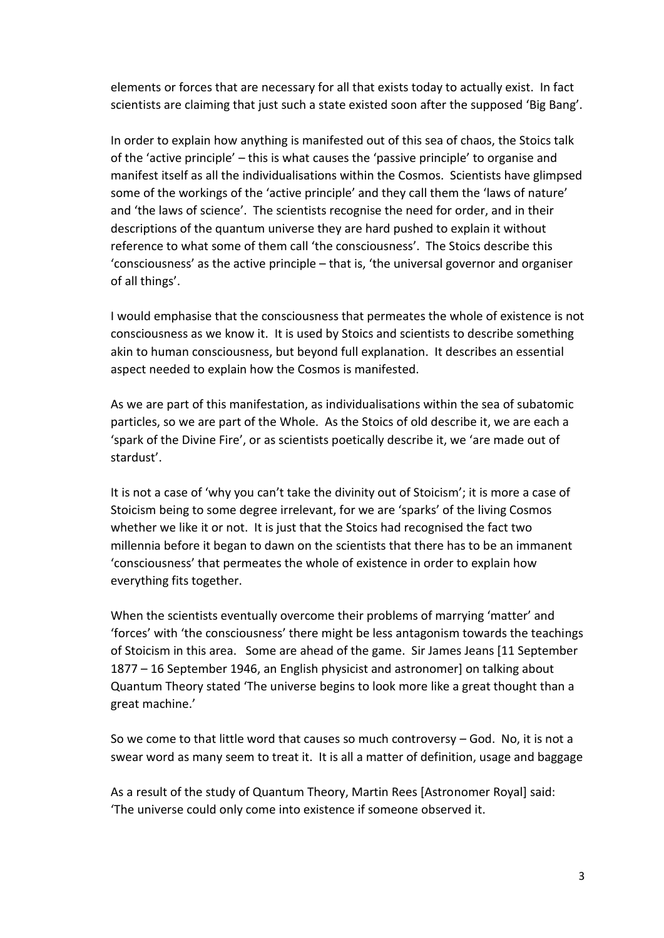elements or forces that are necessary for all that exists today to actually exist. In fact scientists are claiming that just such a state existed soon after the supposed 'Big Bang'.

In order to explain how anything is manifested out of this sea of chaos, the Stoics talk of the 'active principle' – this is what causes the 'passive principle' to organise and manifest itself as all the individualisations within the Cosmos. Scientists have glimpsed some of the workings of the 'active principle' and they call them the 'laws of nature' and 'the laws of science'. The scientists recognise the need for order, and in their descriptions of the quantum universe they are hard pushed to explain it without reference to what some of them call 'the consciousness'. The Stoics describe this 'consciousness' as the active principle – that is, 'the universal governor and organiser of all things'.

I would emphasise that the consciousness that permeates the whole of existence is not consciousness as we know it. It is used by Stoics and scientists to describe something akin to human consciousness, but beyond full explanation. It describes an essential aspect needed to explain how the Cosmos is manifested.

As we are part of this manifestation, as individualisations within the sea of subatomic particles, so we are part of the Whole. As the Stoics of old describe it, we are each a 'spark of the Divine Fire', or as scientists poetically describe it, we 'are made out of stardust'.

It is not a case of 'why you can't take the divinity out of Stoicism'; it is more a case of Stoicism being to some degree irrelevant, for we are 'sparks' of the living Cosmos whether we like it or not. It is just that the Stoics had recognised the fact two millennia before it began to dawn on the scientists that there has to be an immanent 'consciousness' that permeates the whole of existence in order to explain how everything fits together.

When the scientists eventually overcome their problems of marrying 'matter' and 'forces' with 'the consciousness' there might be less antagonism towards the teachings of Stoicism in this area. Some are ahead of the game. Sir James Jeans [11 September 1877 – 16 September 1946, an English physicist and astronomer] on talking about Quantum Theory stated 'The universe begins to look more like a great thought than a great machine.'

So we come to that little word that causes so much controversy – God. No, it is not a swear word as many seem to treat it. It is all a matter of definition, usage and baggage

As a result of the study of Quantum Theory, Martin Rees [Astronomer Royal] said: 'The universe could only come into existence if someone observed it.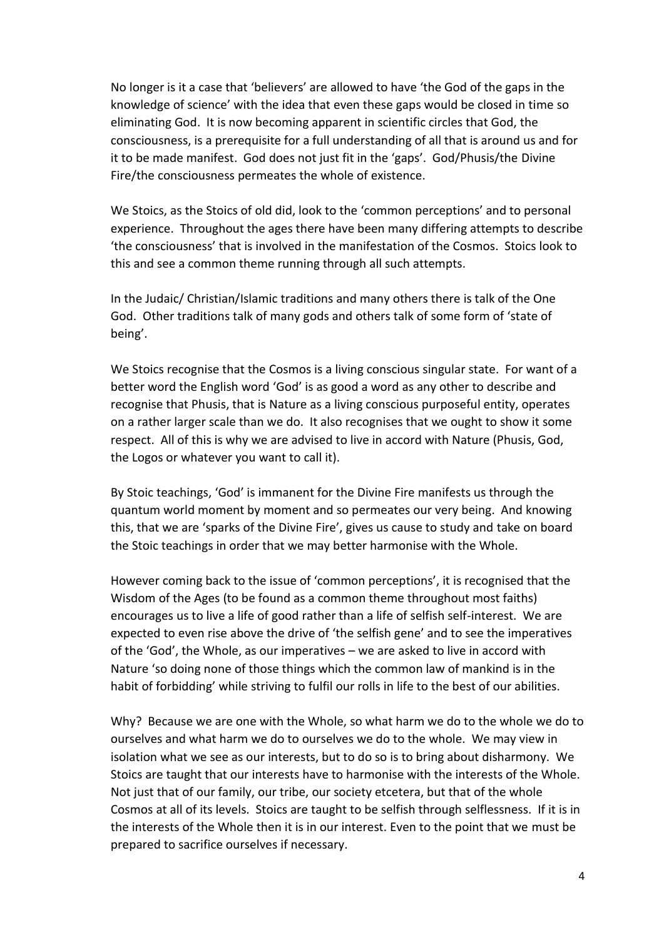No longer is it a case that 'believers' are allowed to have 'the God of the gaps in the knowledge of science' with the idea that even these gaps would be closed in time so eliminating God. It is now becoming apparent in scientific circles that God, the consciousness, is a prerequisite for a full understanding of all that is around us and for it to be made manifest. God does not just fit in the 'gaps'. God/Phusis/the Divine Fire/the consciousness permeates the whole of existence.

We Stoics, as the Stoics of old did, look to the 'common perceptions' and to personal experience. Throughout the ages there have been many differing attempts to describe 'the consciousness' that is involved in the manifestation of the Cosmos. Stoics look to this and see a common theme running through all such attempts.

In the Judaic/ Christian/Islamic traditions and many others there is talk of the One God. Other traditions talk of many gods and others talk of some form of 'state of being'.

We Stoics recognise that the Cosmos is a living conscious singular state. For want of a better word the English word 'God' is as good a word as any other to describe and recognise that Phusis, that is Nature as a living conscious purposeful entity, operates on a rather larger scale than we do. It also recognises that we ought to show it some respect. All of this is why we are advised to live in accord with Nature (Phusis, God, the Logos or whatever you want to call it).

By Stoic teachings, 'God' is immanent for the Divine Fire manifests us through the quantum world moment by moment and so permeates our very being. And knowing this, that we are 'sparks of the Divine Fire', gives us cause to study and take on board the Stoic teachings in order that we may better harmonise with the Whole.

However coming back to the issue of 'common perceptions', it is recognised that the Wisdom of the Ages (to be found as a common theme throughout most faiths) encourages us to live a life of good rather than a life of selfish self-interest. We are expected to even rise above the drive of 'the selfish gene' and to see the imperatives of the 'God', the Whole, as our imperatives – we are asked to live in accord with Nature 'so doing none of those things which the common law of mankind is in the habit of forbidding' while striving to fulfil our rolls in life to the best of our abilities.

Why? Because we are one with the Whole, so what harm we do to the whole we do to ourselves and what harm we do to ourselves we do to the whole. We may view in isolation what we see as our interests, but to do so is to bring about disharmony. We Stoics are taught that our interests have to harmonise with the interests of the Whole. Not just that of our family, our tribe, our society etcetera, but that of the whole Cosmos at all of its levels. Stoics are taught to be selfish through selflessness. If it is in the interests of the Whole then it is in our interest. Even to the point that we must be prepared to sacrifice ourselves if necessary.